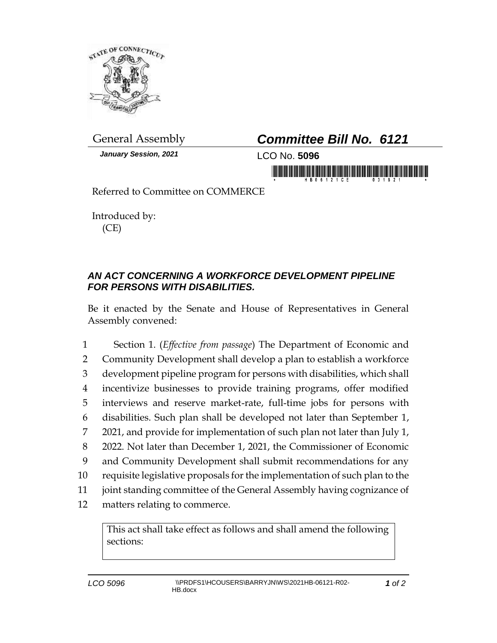

*January Session, 2021* LCO No. **5096**

## General Assembly *Committee Bill No. 6121*

in mornmanila<sup>n</sup> Arhabaha at anang Adah

Referred to Committee on COMMERCE

Introduced by: (CE)

## *AN ACT CONCERNING A WORKFORCE DEVELOPMENT PIPELINE FOR PERSONS WITH DISABILITIES.*

Be it enacted by the Senate and House of Representatives in General Assembly convened:

 Section 1. (*Effective from passage*) The Department of Economic and Community Development shall develop a plan to establish a workforce development pipeline program for persons with disabilities, which shall incentivize businesses to provide training programs, offer modified interviews and reserve market-rate, full-time jobs for persons with disabilities. Such plan shall be developed not later than September 1, 2021, and provide for implementation of such plan not later than July 1, 2022. Not later than December 1, 2021, the Commissioner of Economic and Community Development shall submit recommendations for any requisite legislative proposals for the implementation of such plan to the joint standing committee of the General Assembly having cognizance of matters relating to commerce.

This act shall take effect as follows and shall amend the following sections: